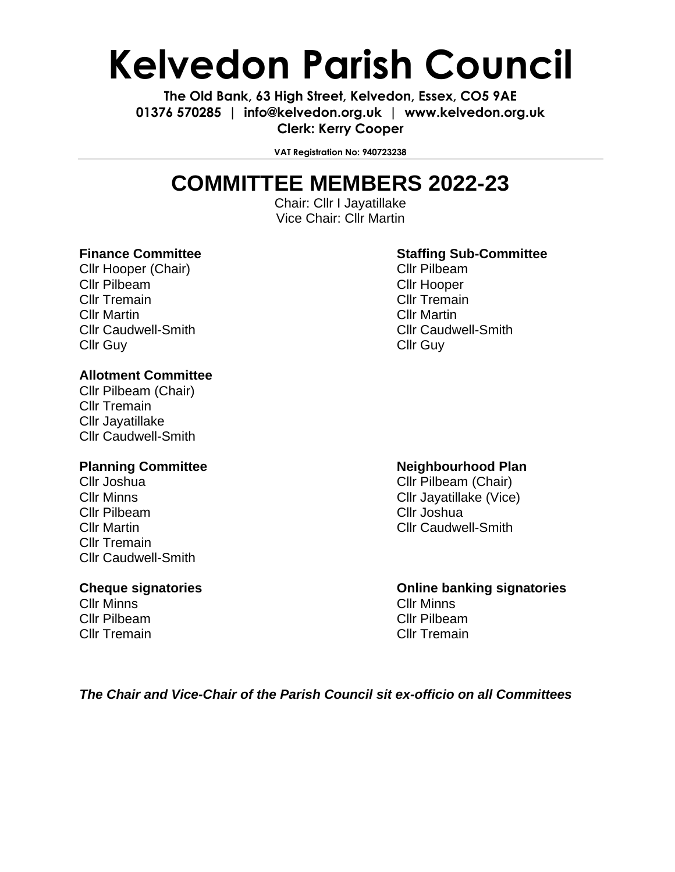# **Kelvedon Parish Council**

**The Old Bank, 63 High Street, Kelvedon, Essex, CO5 9AE 01376 570285 | info@kelvedon.org.uk | www.kelvedon.org.uk Clerk: Kerry Cooper**

**VAT Registration No: 940723238**

# **COMMITTEE MEMBERS 2022-23**

Chair: Cllr I Jayatillake Vice Chair: Cllr Martin

Cllr Hooper (Chair) Cllr Pilbeam Cllr Pilbeam Cllr Hooper Cllr Tremain Cllr Tremain Cllr Martin Cllr Martin Cllr Caudwell-Smith Cllr Caudwell-Smith Cllr Guy Cllr Guy

## **Allotment Committee**

Cllr Pilbeam (Chair) Cllr Tremain Cllr Jayatillake Cllr Caudwell-Smith

Cllr Pilbeam Cllr Joshua Cllr Tremain Cllr Caudwell-Smith

Cllr Minns Cllr Minns Cllr Pilbeam Cllr Pilbeam Cllr Tremain Cllr Tremain

## **Finance Committee Staffing Sub-Committee Staffing Sub-Committee**

### **Planning Committee 19th Research 20 Neighbourhood Plan**

Cllr Joshua Cllr Pilbeam (Chair) Cllr Minns Cllr Jayatillake (Vice) Cllr Martin Cllr Caudwell-Smith

**Cheque signatories Online banking signatories**

*The Chair and Vice-Chair of the Parish Council sit ex-officio on all Committees*